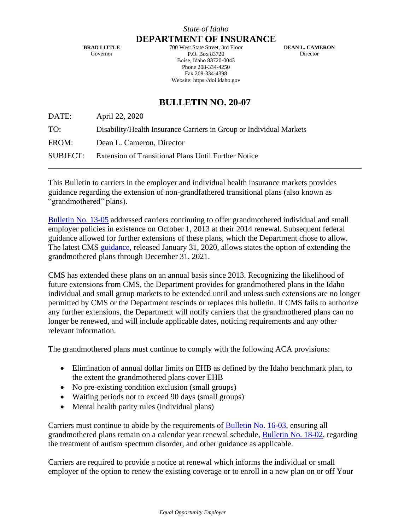**BRAD LITTLE**

Governor

**DEPARTMENT OF INSURANCE** 700 West State Street, 3rd Floor P.O. Box 83720 Boise, Idaho 83720-0043 Phone 208-334-4250 Fax 208-334-4398 Website: https://doi.idaho.gov

**DEAN L. CAMERON Director** 

## **BULLETIN NO. 20-07**

DATE: April 22, 2020

TO: Disability/Health Insurance Carriers in Group or Individual Markets

FROM: Dean L. Cameron, Director

SUBJECT: Extension of Transitional Plans Until Further Notice

This Bulletin to carriers in the employer and individual health insurance markets provides guidance regarding the extension of non-grandfathered transitional plans (also known as "grandmothered" plans).

[Bulletin No. 13-05](https://doi.idaho.gov/DisplayPDF?Id=2036) addressed carriers continuing to offer grandmothered individual and small employer policies in existence on October 1, 2013 at their 2014 renewal. Subsequent federal guidance allowed for further extensions of these plans, which the Department chose to allow. The latest CMS [guidance,](https://www.cms.gov/files/document/extension-limited-non-enforcement-policy-through-calendar-year-2021.pdf) released January 31, 2020, allows states the option of extending the grandmothered plans through December 31, 2021.

CMS has extended these plans on an annual basis since 2013. Recognizing the likelihood of future extensions from CMS, the Department provides for grandmothered plans in the Idaho individual and small group markets to be extended until and unless such extensions are no longer permitted by CMS or the Department rescinds or replaces this bulletin. If CMS fails to authorize any further extensions, the Department will notify carriers that the grandmothered plans can no longer be renewed, and will include applicable dates, noticing requirements and any other relevant information.

The grandmothered plans must continue to comply with the following ACA provisions:

- Elimination of annual dollar limits on EHB as defined by the Idaho benchmark plan, to the extent the grandmothered plans cover EHB
- No pre-existing condition exclusion (small groups)
- Waiting periods not to exceed 90 days (small groups)
- Mental health parity rules (individual plans)

Carriers must continue to abide by the requirements of [Bulletin No. 16-03,](https://doi.idaho.gov/DisplayPDF?Id=2050) ensuring all grandmothered plans remain on a calendar year renewal schedule, [Bulletin No. 18-02,](https://doi.idaho.gov/DisplayPDF?Id=4924) regarding the treatment of autism spectrum disorder, and other guidance as applicable.

Carriers are required to provide a notice at renewal which informs the individual or small employer of the option to renew the existing coverage or to enroll in a new plan on or off Your